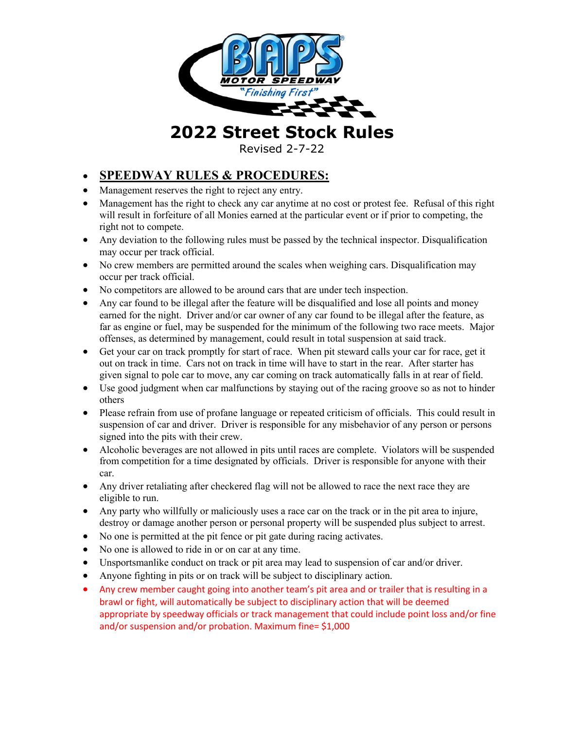

**2022 Street Stock Rules**

Revised 2-7-22

# • **SPEEDWAY RULES & PROCEDURES:**

- Management reserves the right to reject any entry.
- Management has the right to check any car anytime at no cost or protest fee. Refusal of this right will result in forfeiture of all Monies earned at the particular event or if prior to competing, the right not to compete.
- Any deviation to the following rules must be passed by the technical inspector. Disqualification may occur per track official.
- No crew members are permitted around the scales when weighing cars. Disqualification may occur per track official.
- No competitors are allowed to be around cars that are under tech inspection.
- Any car found to be illegal after the feature will be disqualified and lose all points and money earned for the night. Driver and/or car owner of any car found to be illegal after the feature, as far as engine or fuel, may be suspended for the minimum of the following two race meets. Major offenses, as determined by management, could result in total suspension at said track.
- Get your car on track promptly for start of race. When pit steward calls your car for race, get it out on track in time. Cars not on track in time will have to start in the rear. After starter has given signal to pole car to move, any car coming on track automatically falls in at rear of field.
- Use good judgment when car malfunctions by staying out of the racing groove so as not to hinder others
- Please refrain from use of profane language or repeated criticism of officials. This could result in suspension of car and driver. Driver is responsible for any misbehavior of any person or persons signed into the pits with their crew.
- Alcoholic beverages are not allowed in pits until races are complete. Violators will be suspended from competition for a time designated by officials. Driver is responsible for anyone with their car.
- Any driver retaliating after checkered flag will not be allowed to race the next race they are eligible to run.
- Any party who willfully or maliciously uses a race car on the track or in the pit area to injure, destroy or damage another person or personal property will be suspended plus subject to arrest.
- No one is permitted at the pit fence or pit gate during racing activates.
- No one is allowed to ride in or on car at any time.
- Unsportsmanlike conduct on track or pit area may lead to suspension of car and/or driver.
- Anyone fighting in pits or on track will be subject to disciplinary action.
- Any crew member caught going into another team's pit area and or trailer that is resulting in a brawl or fight, will automatically be subject to disciplinary action that will be deemed appropriate by speedway officials or track management that could include point loss and/or fine and/or suspension and/or probation. Maximum fine= \$1,000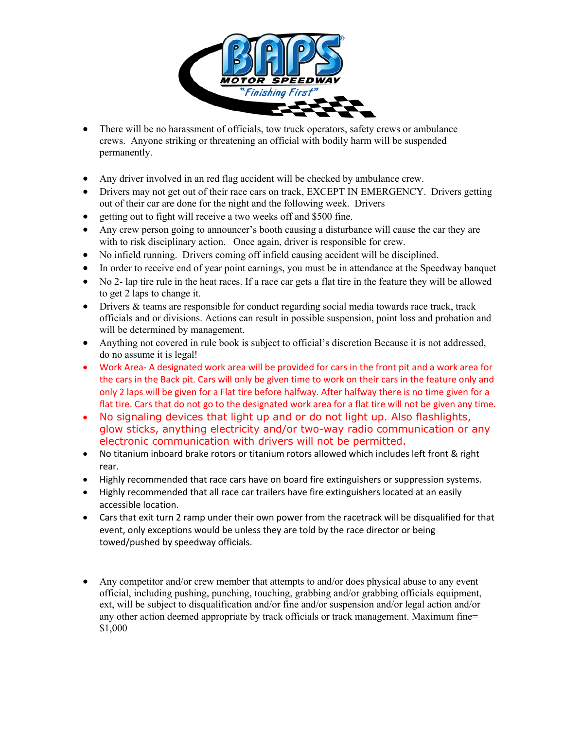

- There will be no harassment of officials, tow truck operators, safety crews or ambulance crews. Anyone striking or threatening an official with bodily harm will be suspended permanently.
- Any driver involved in an red flag accident will be checked by ambulance crew.
- Drivers may not get out of their race cars on track, EXCEPT IN EMERGENCY. Drivers getting out of their car are done for the night and the following week. Drivers
- getting out to fight will receive a two weeks off and \$500 fine.
- Any crew person going to announcer's booth causing a disturbance will cause the car they are with to risk disciplinary action. Once again, driver is responsible for crew.
- No infield running. Drivers coming off infield causing accident will be disciplined.
- In order to receive end of year point earnings, you must be in attendance at the Speedway banquet
- No 2- lap tire rule in the heat races. If a race car gets a flat tire in the feature they will be allowed to get 2 laps to change it.
- Drivers & teams are responsible for conduct regarding social media towards race track, track officials and or divisions. Actions can result in possible suspension, point loss and probation and will be determined by management.
- Anything not covered in rule book is subject to official's discretion Because it is not addressed, do no assume it is legal!
- Work Area- A designated work area will be provided for cars in the front pit and a work area for the cars in the Back pit. Cars will only be given time to work on their cars in the feature only and only 2 laps will be given for a Flat tire before halfway. After halfway there is no time given for a flat tire. Cars that do not go to the designated work area for a flat tire will not be given any time.
- No signaling devices that light up and or do not light up. Also flashlights, glow sticks, anything electricity and/or two-way radio communication or any electronic communication with drivers will not be permitted.
- No titanium inboard brake rotors or titanium rotors allowed which includes left front & right rear.
- Highly recommended that race cars have on board fire extinguishers or suppression systems.
- Highly recommended that all race car trailers have fire extinguishers located at an easily accessible location.
- Cars that exit turn 2 ramp under their own power from the racetrack will be disqualified for that event, only exceptions would be unless they are told by the race director or being towed/pushed by speedway officials.
- Any competitor and/or crew member that attempts to and/or does physical abuse to any event official, including pushing, punching, touching, grabbing and/or grabbing officials equipment, ext, will be subject to disqualification and/or fine and/or suspension and/or legal action and/or any other action deemed appropriate by track officials or track management. Maximum fine= \$1,000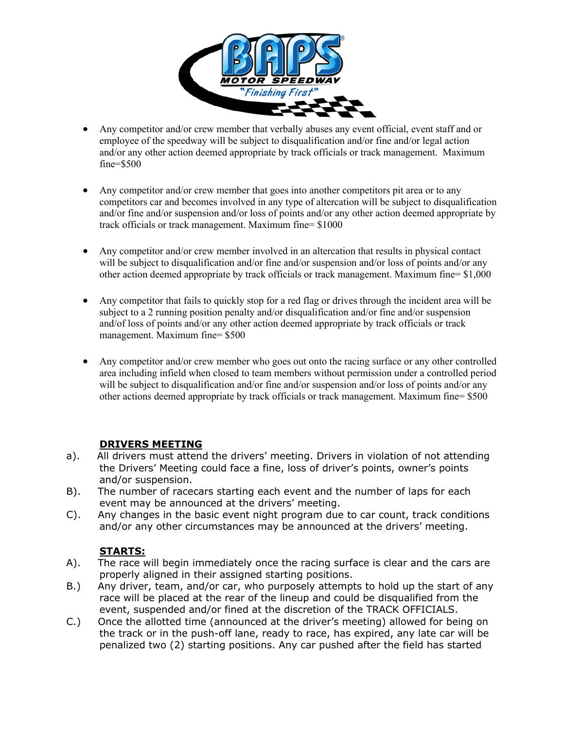

- Any competitor and/or crew member that verbally abuses any event official, event staff and or employee of the speedway will be subject to disqualification and/or fine and/or legal action and/or any other action deemed appropriate by track officials or track management. Maximum fine=\$500
- Any competitor and/or crew member that goes into another competitors pit area or to any competitors car and becomes involved in any type of altercation will be subject to disqualification and/or fine and/or suspension and/or loss of points and/or any other action deemed appropriate by track officials or track management. Maximum fine= \$1000
- Any competitor and/or crew member involved in an altercation that results in physical contact will be subject to disqualification and/or fine and/or suspension and/or loss of points and/or any other action deemed appropriate by track officials or track management. Maximum fine=  $$1,000$
- Any competitor that fails to quickly stop for a red flag or drives through the incident area will be subject to a 2 running position penalty and/or disqualification and/or fine and/or suspension and/of loss of points and/or any other action deemed appropriate by track officials or track management. Maximum fine= \$500
- Any competitor and/or crew member who goes out onto the racing surface or any other controlled area including infield when closed to team members without permission under a controlled period will be subject to disqualification and/or fine and/or suspension and/or loss of points and/or any other actions deemed appropriate by track officials or track management. Maximum fine= \$500

# **DRIVERS MEETING**

- a). All drivers must attend the drivers' meeting. Drivers in violation of not attending the Drivers' Meeting could face a fine, loss of driver's points, owner's points and/or suspension.
- B). The number of racecars starting each event and the number of laps for each event may be announced at the drivers' meeting.
- C). Any changes in the basic event night program due to car count, track conditions and/or any other circumstances may be announced at the drivers' meeting.

# **STARTS:**

- A). The race will begin immediately once the racing surface is clear and the cars are properly aligned in their assigned starting positions.
- B.) Any driver, team, and/or car, who purposely attempts to hold up the start of any race will be placed at the rear of the lineup and could be disqualified from the event, suspended and/or fined at the discretion of the TRACK OFFICIALS.
- C.) Once the allotted time (announced at the driver's meeting) allowed for being on the track or in the push-off lane, ready to race, has expired, any late car will be penalized two (2) starting positions. Any car pushed after the field has started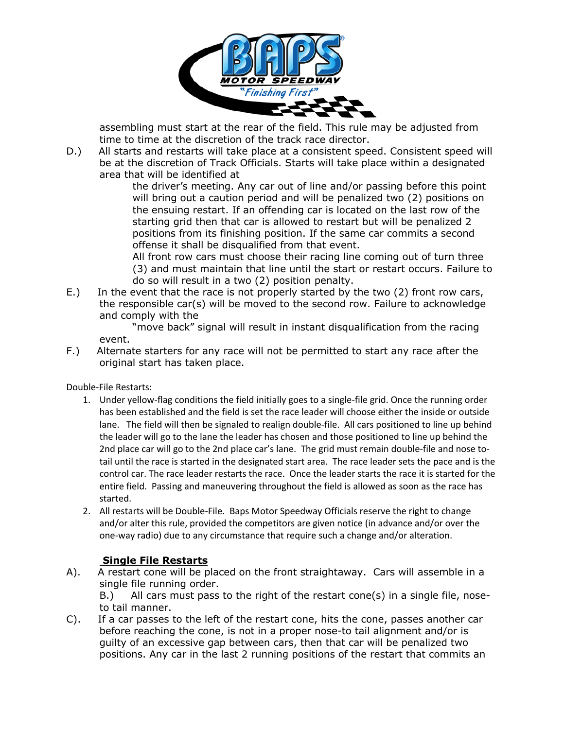

 assembling must start at the rear of the field. This rule may be adjusted from time to time at the discretion of the track race director.

D.) All starts and restarts will take place at a consistent speed. Consistent speed will be at the discretion of Track Officials. Starts will take place within a designated area that will be identified at

the driver's meeting. Any car out of line and/or passing before this point will bring out a caution period and will be penalized two (2) positions on the ensuing restart. If an offending car is located on the last row of the starting grid then that car is allowed to restart but will be penalized 2 positions from its finishing position. If the same car commits a second offense it shall be disqualified from that event.

All front row cars must choose their racing line coming out of turn three (3) and must maintain that line until the start or restart occurs. Failure to do so will result in a two (2) position penalty.

E.) In the event that the race is not properly started by the two (2) front row cars, the responsible car(s) will be moved to the second row. Failure to acknowledge and comply with the

"move back" signal will result in instant disqualification from the racing event.

F.) Alternate starters for any race will not be permitted to start any race after the original start has taken place.

Double-File Restarts:

- 1. Under yellow-flag conditions the field initially goes to a single-file grid. Once the running order has been established and the field is set the race leader will choose either the inside or outside lane. The field will then be signaled to realign double-file. All cars positioned to line up behind the leader will go to the lane the leader has chosen and those positioned to line up behind the 2nd place car will go to the 2nd place car's lane. The grid must remain double-file and nose totail until the race is started in the designated start area. The race leader sets the pace and is the control car. The race leader restarts the race. Once the leader starts the race it is started for the entire field. Passing and maneuvering throughout the field is allowed as soon as the race has started.
- 2. All restarts will be Double-File. Baps Motor Speedway Officials reserve the right to change and/or alter this rule, provided the competitors are given notice (in advance and/or over the one-way radio) due to any circumstance that require such a change and/or alteration.

# **Single File Restarts**

A). A restart cone will be placed on the front straightaway. Cars will assemble in a single file running order.

B.) All cars must pass to the right of the restart cone(s) in a single file, noseto tail manner.

C). If a car passes to the left of the restart cone, hits the cone, passes another car before reaching the cone, is not in a proper nose-to tail alignment and/or is guilty of an excessive gap between cars, then that car will be penalized two positions. Any car in the last 2 running positions of the restart that commits an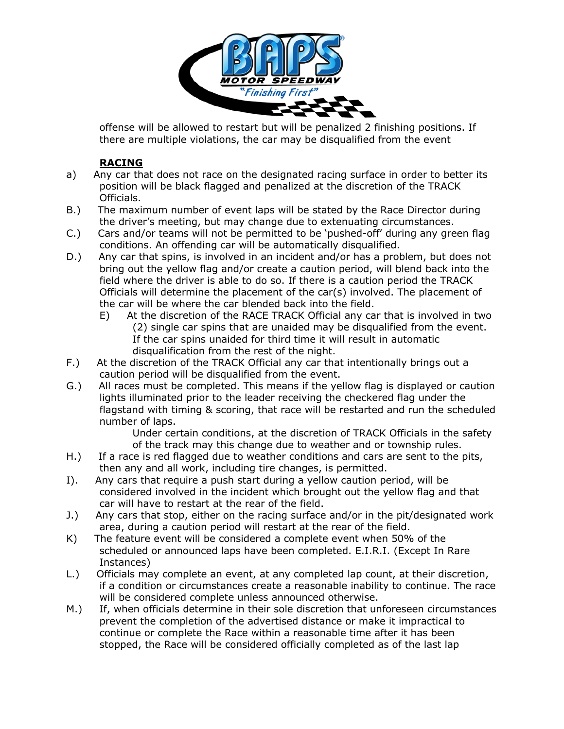

 offense will be allowed to restart but will be penalized 2 finishing positions. If there are multiple violations, the car may be disqualified from the event

# **RACING**

- a) Any car that does not race on the designated racing surface in order to better its position will be black flagged and penalized at the discretion of the TRACK Officials.
- B.) The maximum number of event laps will be stated by the Race Director during the driver's meeting, but may change due to extenuating circumstances.
- C.) Cars and/or teams will not be permitted to be 'pushed-off' during any green flag conditions. An offending car will be automatically disqualified.
- D.) Any car that spins, is involved in an incident and/or has a problem, but does not bring out the yellow flag and/or create a caution period, will blend back into the field where the driver is able to do so. If there is a caution period the TRACK Officials will determine the placement of the car(s) involved. The placement of the car will be where the car blended back into the field.
	- E) At the discretion of the RACE TRACK Official any car that is involved in two (2) single car spins that are unaided may be disqualified from the event. If the car spins unaided for third time it will result in automatic disqualification from the rest of the night.
- F.) At the discretion of the TRACK Official any car that intentionally brings out a caution period will be disqualified from the event.
- G.) All races must be completed. This means if the yellow flag is displayed or caution lights illuminated prior to the leader receiving the checkered flag under the flagstand with timing & scoring, that race will be restarted and run the scheduled number of laps.

Under certain conditions, at the discretion of TRACK Officials in the safety of the track may this change due to weather and or township rules.

- H.) If a race is red flagged due to weather conditions and cars are sent to the pits, then any and all work, including tire changes, is permitted.
- I). Any cars that require a push start during a yellow caution period, will be considered involved in the incident which brought out the yellow flag and that car will have to restart at the rear of the field.
- J.) Any cars that stop, either on the racing surface and/or in the pit/designated work area, during a caution period will restart at the rear of the field.
- K) The feature event will be considered a complete event when 50% of the scheduled or announced laps have been completed. E.I.R.I. (Except In Rare Instances)
- L.) Officials may complete an event, at any completed lap count, at their discretion, if a condition or circumstances create a reasonable inability to continue. The race will be considered complete unless announced otherwise.
- M.) If, when officials determine in their sole discretion that unforeseen circumstances prevent the completion of the advertised distance or make it impractical to continue or complete the Race within a reasonable time after it has been stopped, the Race will be considered officially completed as of the last lap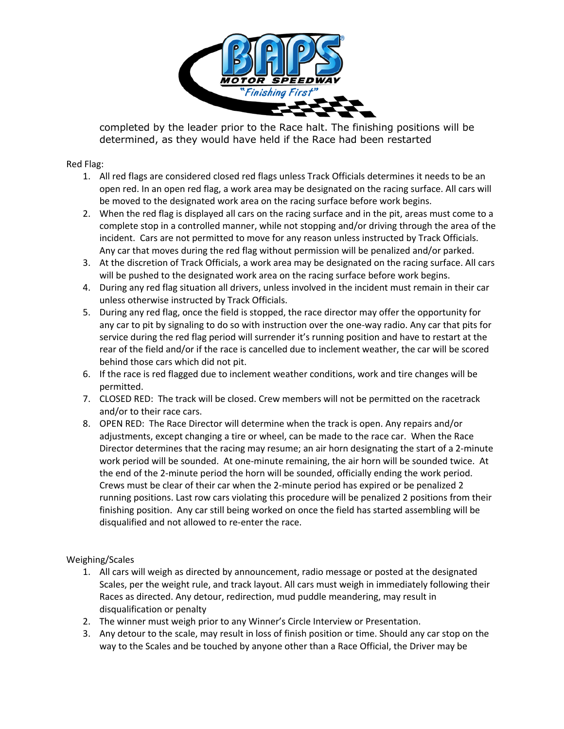

 completed by the leader prior to the Race halt. The finishing positions will be determined, as they would have held if the Race had been restarted

Red Flag:

- 1. All red flags are considered closed red flags unless Track Officials determines it needs to be an open red. In an open red flag, a work area may be designated on the racing surface. All cars will be moved to the designated work area on the racing surface before work begins.
- 2. When the red flag is displayed all cars on the racing surface and in the pit, areas must come to a complete stop in a controlled manner, while not stopping and/or driving through the area of the incident. Cars are not permitted to move for any reason unless instructed by Track Officials. Any car that moves during the red flag without permission will be penalized and/or parked.
- 3. At the discretion of Track Officials, a work area may be designated on the racing surface. All cars will be pushed to the designated work area on the racing surface before work begins.
- 4. During any red flag situation all drivers, unless involved in the incident must remain in their car unless otherwise instructed by Track Officials.
- 5. During any red flag, once the field is stopped, the race director may offer the opportunity for any car to pit by signaling to do so with instruction over the one-way radio. Any car that pits for service during the red flag period will surrender it's running position and have to restart at the rear of the field and/or if the race is cancelled due to inclement weather, the car will be scored behind those cars which did not pit.
- 6. If the race is red flagged due to inclement weather conditions, work and tire changes will be permitted.
- 7. CLOSED RED: The track will be closed. Crew members will not be permitted on the racetrack and/or to their race cars.
- 8. OPEN RED: The Race Director will determine when the track is open. Any repairs and/or adjustments, except changing a tire or wheel, can be made to the race car. When the Race Director determines that the racing may resume; an air horn designating the start of a 2-minute work period will be sounded. At one-minute remaining, the air horn will be sounded twice. At the end of the 2-minute period the horn will be sounded, officially ending the work period. Crews must be clear of their car when the 2-minute period has expired or be penalized 2 running positions. Last row cars violating this procedure will be penalized 2 positions from their finishing position. Any car still being worked on once the field has started assembling will be disqualified and not allowed to re-enter the race.

Weighing/Scales

- 1. All cars will weigh as directed by announcement, radio message or posted at the designated Scales, per the weight rule, and track layout. All cars must weigh in immediately following their Races as directed. Any detour, redirection, mud puddle meandering, may result in disqualification or penalty
- 2. The winner must weigh prior to any Winner's Circle Interview or Presentation.
- 3. Any detour to the scale, may result in loss of finish position or time. Should any car stop on the way to the Scales and be touched by anyone other than a Race Official, the Driver may be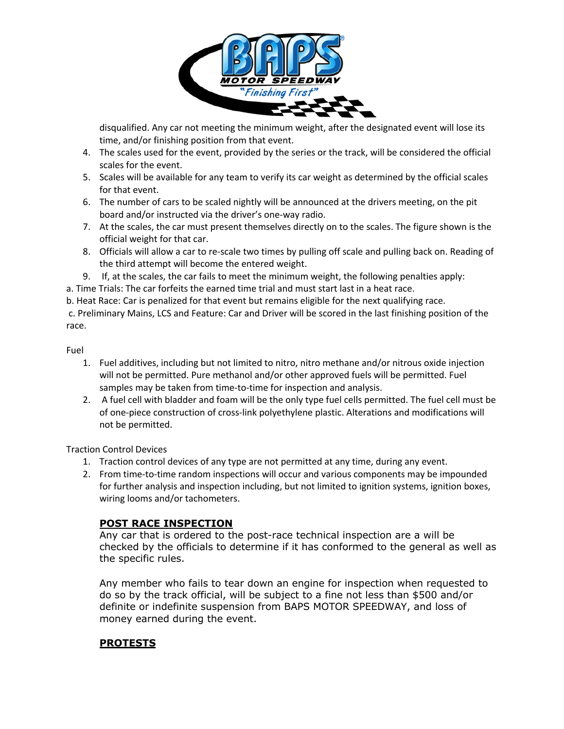

 disqualified. Any car not meeting the minimum weight, after the designated event will lose its time, and/or finishing position from that event.

- 4. The scales used for the event, provided by the series or the track, will be considered the official scales for the event.
- 5. Scales will be available for any team to verify its car weight as determined by the official scales for that event.
- 6. The number of cars to be scaled nightly will be announced at the drivers meeting, on the pit board and/or instructed via the driver's one-way radio.
- 7. At the scales, the car must present themselves directly on to the scales. The figure shown is the official weight for that car.
- 8. Officials will allow a car to re-scale two times by pulling off scale and pulling back on. Reading of the third attempt will become the entered weight.
- 9. If, at the scales, the car fails to meet the minimum weight, the following penalties apply:

a. Time Trials: The car forfeits the earned time trial and must start last in a heat race.

b. Heat Race: Car is penalized for that event but remains eligible for the next qualifying race.

c. Preliminary Mains, LCS and Feature: Car and Driver will be scored in the last finishing position of the race.

#### Fuel

- 1. Fuel additives, including but not limited to nitro, nitro methane and/or nitrous oxide injection will not be permitted. Pure methanol and/or other approved fuels will be permitted. Fuel samples may be taken from time-to-time for inspection and analysis.
- 2. A fuel cell with bladder and foam will be the only type fuel cells permitted. The fuel cell must be of one-piece construction of cross-link polyethylene plastic. Alterations and modifications will not be permitted.

Traction Control Devices

- 1. Traction control devices of any type are not permitted at any time, during any event.
- 2. From time-to-time random inspections will occur and various components may be impounded for further analysis and inspection including, but not limited to ignition systems, ignition boxes, wiring looms and/or tachometers.

# **POST RACE INSPECTION**

Any car that is ordered to the post-race technical inspection are a will be checked by the officials to determine if it has conformed to the general as well as the specific rules.

Any member who fails to tear down an engine for inspection when requested to do so by the track official, will be subject to a fine not less than \$500 and/or definite or indefinite suspension from BAPS MOTOR SPEEDWAY, and loss of money earned during the event.

# **PROTESTS**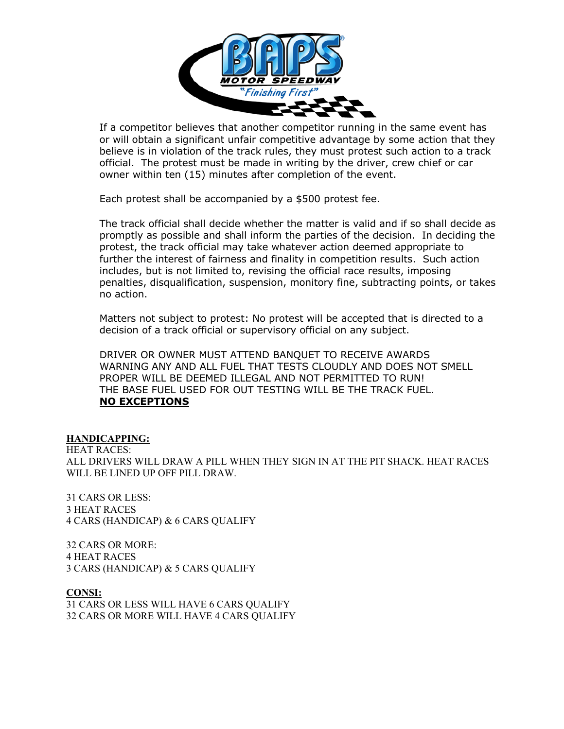

 If a competitor believes that another competitor running in the same event has or will obtain a significant unfair competitive advantage by some action that they believe is in violation of the track rules, they must protest such action to a track official. The protest must be made in writing by the driver, crew chief or car owner within ten (15) minutes after completion of the event.

Each protest shall be accompanied by a \$500 protest fee.

The track official shall decide whether the matter is valid and if so shall decide as promptly as possible and shall inform the parties of the decision. In deciding the protest, the track official may take whatever action deemed appropriate to further the interest of fairness and finality in competition results. Such action includes, but is not limited to, revising the official race results, imposing penalties, disqualification, suspension, monitory fine, subtracting points, or takes no action.

Matters not subject to protest: No protest will be accepted that is directed to a decision of a track official or supervisory official on any subject.

DRIVER OR OWNER MUST ATTEND BANQUET TO RECEIVE AWARDS WARNING ANY AND ALL FUEL THAT TESTS CLOUDLY AND DOES NOT SMELL PROPER WILL BE DEEMED ILLEGAL AND NOT PERMITTED TO RUN! THE BASE FUEL USED FOR OUT TESTING WILL BE THE TRACK FUEL. **NO EXCEPTIONS**

#### **HANDICAPPING:**

HEAT RACES: ALL DRIVERS WILL DRAW A PILL WHEN THEY SIGN IN AT THE PIT SHACK. HEAT RACES WILL BE LINED UP OFF PILL DRAW.

31 CARS OR LESS: 3 HEAT RACES 4 CARS (HANDICAP) & 6 CARS QUALIFY

32 CARS OR MORE: 4 HEAT RACES 3 CARS (HANDICAP) & 5 CARS QUALIFY

**CONSI:**  31 CARS OR LESS WILL HAVE 6 CARS QUALIFY 32 CARS OR MORE WILL HAVE 4 CARS QUALIFY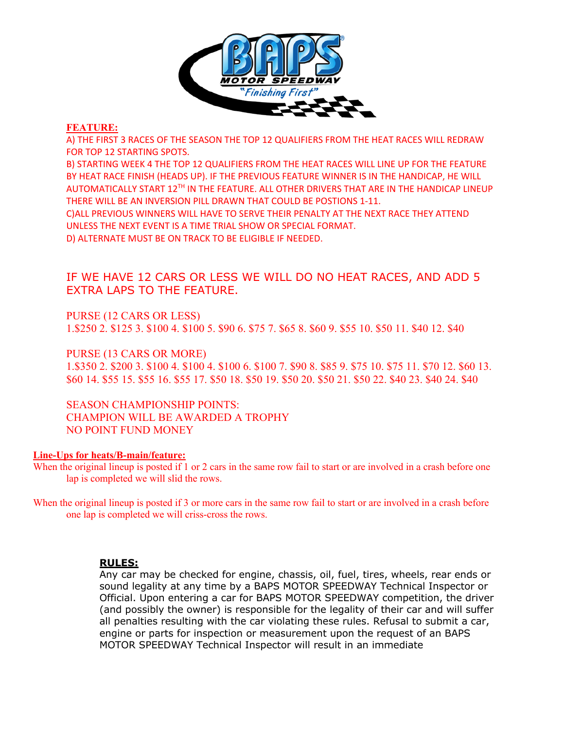

#### **FEATURE:**

A) THE FIRST 3 RACES OF THE SEASON THE TOP 12 QUALIFIERS FROM THE HEAT RACES WILL REDRAW FOR TOP 12 STARTING SPOTS.

B) STARTING WEEK 4 THE TOP 12 QUALIFIERS FROM THE HEAT RACES WILL LINE UP FOR THE FEATURE BY HEAT RACE FINISH (HEADS UP). IF THE PREVIOUS FEATURE WINNER IS IN THE HANDICAP, HE WILL AUTOMATICALLY START 12TH IN THE FEATURE. ALL OTHER DRIVERS THAT ARE IN THE HANDICAP LINEUP THERE WILL BE AN INVERSION PILL DRAWN THAT COULD BE POSTIONS 1-11.

C)ALL PREVIOUS WINNERS WILL HAVE TO SERVE THEIR PENALTY AT THE NEXT RACE THEY ATTEND UNLESS THE NEXT EVENT IS A TIME TRIAL SHOW OR SPECIAL FORMAT.

D) ALTERNATE MUST BE ON TRACK TO BE ELIGIBLE IF NEEDED.

# IF WE HAVE 12 CARS OR LESS WE WILL DO NO HEAT RACES, AND ADD 5 EXTRA LAPS TO THE FEATURE.

PURSE (12 CARS OR LESS) 1.\$250 2. \$125 3. \$100 4. \$100 5. \$90 6. \$75 7. \$65 8. \$60 9. \$55 10. \$50 11. \$40 12. \$40

PURSE (13 CARS OR MORE) 1.\$350 2. \$200 3. \$100 4. \$100 4. \$100 6. \$100 7. \$90 8. \$85 9. \$75 10. \$75 11. \$70 12. \$60 13. \$60 14. \$55 15. \$55 16. \$55 17. \$50 18. \$50 19. \$50 20. \$50 21. \$50 22. \$40 23. \$40 24. \$40

SEASON CHAMPIONSHIP POINTS: CHAMPION WILL BE AWARDED A TROPHY NO POINT FUND MONEY

#### **Line-Ups for heats/B-main/feature:**

When the original lineup is posted if 1 or 2 cars in the same row fail to start or are involved in a crash before one lap is completed we will slid the rows.

When the original lineup is posted if 3 or more cars in the same row fail to start or are involved in a crash before one lap is completed we will criss-cross the rows.

#### **RULES:**

Any car may be checked for engine, chassis, oil, fuel, tires, wheels, rear ends or sound legality at any time by a BAPS MOTOR SPEEDWAY Technical Inspector or Official. Upon entering a car for BAPS MOTOR SPEEDWAY competition, the driver (and possibly the owner) is responsible for the legality of their car and will suffer all penalties resulting with the car violating these rules. Refusal to submit a car, engine or parts for inspection or measurement upon the request of an BAPS MOTOR SPEEDWAY Technical Inspector will result in an immediate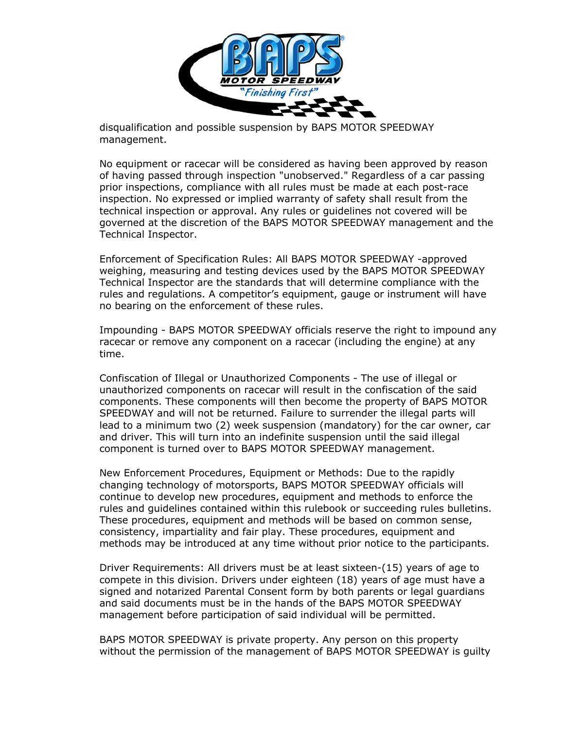

 disqualification and possible suspension by BAPS MOTOR SPEEDWAY management.

No equipment or racecar will be considered as having been approved by reason of having passed through inspection "unobserved." Regardless of a car passing prior inspections, compliance with all rules must be made at each post-race inspection. No expressed or implied warranty of safety shall result from the technical inspection or approval. Any rules or guidelines not covered will be governed at the discretion of the BAPS MOTOR SPEEDWAY management and the Technical Inspector.

Enforcement of Specification Rules: All BAPS MOTOR SPEEDWAY -approved weighing, measuring and testing devices used by the BAPS MOTOR SPEEDWAY Technical Inspector are the standards that will determine compliance with the rules and regulations. A competitor's equipment, gauge or instrument will have no bearing on the enforcement of these rules.

Impounding - BAPS MOTOR SPEEDWAY officials reserve the right to impound any racecar or remove any component on a racecar (including the engine) at any time.

Confiscation of Illegal or Unauthorized Components - The use of illegal or unauthorized components on racecar will result in the confiscation of the said components. These components will then become the property of BAPS MOTOR SPEEDWAY and will not be returned. Failure to surrender the illegal parts will lead to a minimum two (2) week suspension (mandatory) for the car owner, car and driver. This will turn into an indefinite suspension until the said illegal component is turned over to BAPS MOTOR SPEEDWAY management.

New Enforcement Procedures, Equipment or Methods: Due to the rapidly changing technology of motorsports, BAPS MOTOR SPEEDWAY officials will continue to develop new procedures, equipment and methods to enforce the rules and guidelines contained within this rulebook or succeeding rules bulletins. These procedures, equipment and methods will be based on common sense, consistency, impartiality and fair play. These procedures, equipment and methods may be introduced at any time without prior notice to the participants.

Driver Requirements: All drivers must be at least sixteen-(15) years of age to compete in this division. Drivers under eighteen (18) years of age must have a signed and notarized Parental Consent form by both parents or legal guardians and said documents must be in the hands of the BAPS MOTOR SPEEDWAY management before participation of said individual will be permitted.

BAPS MOTOR SPEEDWAY is private property. Any person on this property without the permission of the management of BAPS MOTOR SPEEDWAY is guilty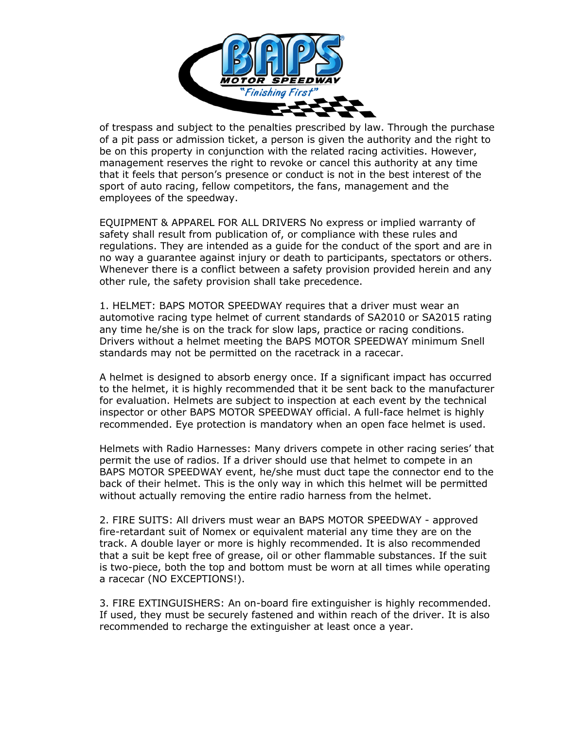

 of trespass and subject to the penalties prescribed by law. Through the purchase of a pit pass or admission ticket, a person is given the authority and the right to be on this property in conjunction with the related racing activities. However, management reserves the right to revoke or cancel this authority at any time that it feels that person's presence or conduct is not in the best interest of the sport of auto racing, fellow competitors, the fans, management and the employees of the speedway.

EQUIPMENT & APPAREL FOR ALL DRIVERS No express or implied warranty of safety shall result from publication of, or compliance with these rules and regulations. They are intended as a guide for the conduct of the sport and are in no way a guarantee against injury or death to participants, spectators or others. Whenever there is a conflict between a safety provision provided herein and any other rule, the safety provision shall take precedence.

1. HELMET: BAPS MOTOR SPEEDWAY requires that a driver must wear an automotive racing type helmet of current standards of SA2010 or SA2015 rating any time he/she is on the track for slow laps, practice or racing conditions. Drivers without a helmet meeting the BAPS MOTOR SPEEDWAY minimum Snell standards may not be permitted on the racetrack in a racecar.

A helmet is designed to absorb energy once. If a significant impact has occurred to the helmet, it is highly recommended that it be sent back to the manufacturer for evaluation. Helmets are subject to inspection at each event by the technical inspector or other BAPS MOTOR SPEEDWAY official. A full-face helmet is highly recommended. Eye protection is mandatory when an open face helmet is used.

Helmets with Radio Harnesses: Many drivers compete in other racing series' that permit the use of radios. If a driver should use that helmet to compete in an BAPS MOTOR SPEEDWAY event, he/she must duct tape the connector end to the back of their helmet. This is the only way in which this helmet will be permitted without actually removing the entire radio harness from the helmet.

2. FIRE SUITS: All drivers must wear an BAPS MOTOR SPEEDWAY - approved fire-retardant suit of Nomex or equivalent material any time they are on the track. A double layer or more is highly recommended. It is also recommended that a suit be kept free of grease, oil or other flammable substances. If the suit is two-piece, both the top and bottom must be worn at all times while operating a racecar (NO EXCEPTIONS!).

3. FIRE EXTINGUISHERS: An on-board fire extinguisher is highly recommended. If used, they must be securely fastened and within reach of the driver. It is also recommended to recharge the extinguisher at least once a year.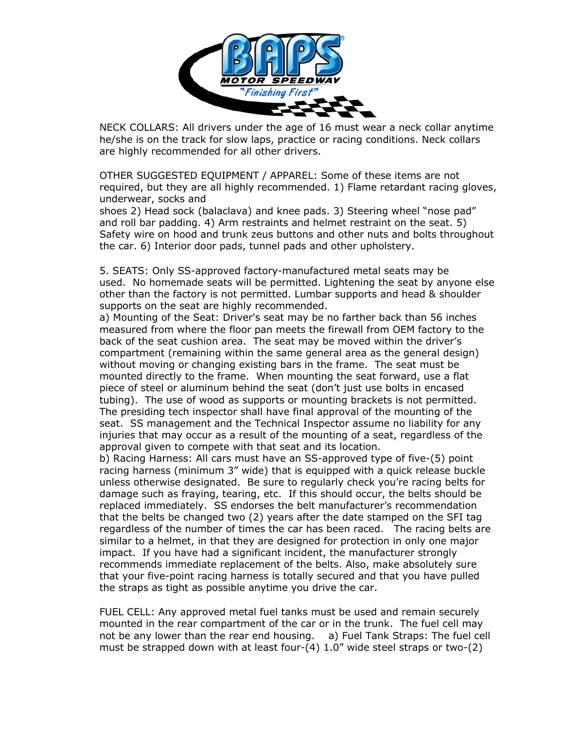

 NECK COLLARS: All drivers under the age of 16 must wear a neck collar anytime he/she is on the track for slow laps, practice or racing conditions. Neck collars are highly recommended for all other drivers.

OTHER SUGGESTED EQUIPMENT / APPAREL: Some of these items are not required, but they are all highly recommended. 1) Flame retardant racing gloves, underwear, socks and

shoes 2) Head sock (balaclava) and knee pads. 3) Steering wheel "nose pad" and roll bar padding. 4) Arm restraints and helmet restraint on the seat. 5) Safety wire on hood and trunk zeus buttons and other nuts and bolts throughout the car. 6) Interior door pads, tunnel pads and other upholstery.

5. SEATS: Only SS-approved factory-manufactured metal seats may be used. No homemade seats will be permitted. Lightening the seat by anyone else other than the factory is not permitted. Lumbar supports and head & shoulder supports on the seat are highly recommended.

a) Mounting of the Seat: Driver's seat may be no farther back than 56 inches measured from where the floor pan meets the firewall from OEM factory to the back of the seat cushion area. The seat may be moved within the driver's compartment (remaining within the same general area as the general design) without moving or changing existing bars in the frame. The seat must be mounted directly to the frame. When mounting the seat forward, use a flat piece of steel or aluminum behind the seat (don't just use bolts in encased tubing). The use of wood as supports or mounting brackets is not permitted. The presiding tech inspector shall have final approval of the mounting of the seat. SS management and the Technical Inspector assume no liability for any injuries that may occur as a result of the mounting of a seat, regardless of the approval given to compete with that seat and its location.

b) Racing Harness: All cars must have an SS-approved type of five-(5) point racing harness (minimum 3" wide) that is equipped with a quick release buckle unless otherwise designated. Be sure to regularly check you're racing belts for damage such as fraying, tearing, etc. If this should occur, the belts should be replaced immediately. SS endorses the belt manufacturer's recommendation that the belts be changed two (2) years after the date stamped on the SFI tag regardless of the number of times the car has been raced. The racing belts are similar to a helmet, in that they are designed for protection in only one major impact. If you have had a significant incident, the manufacturer strongly recommends immediate replacement of the belts. Also, make absolutely sure that your five-point racing harness is totally secured and that you have pulled the straps as tight as possible anytime you drive the car.

FUEL CELL: Any approved metal fuel tanks must be used and remain securely mounted in the rear compartment of the car or in the trunk. The fuel cell may not be any lower than the rear end housing. a) Fuel Tank Straps: The fuel cell must be strapped down with at least four-(4) 1.0" wide steel straps or two-(2)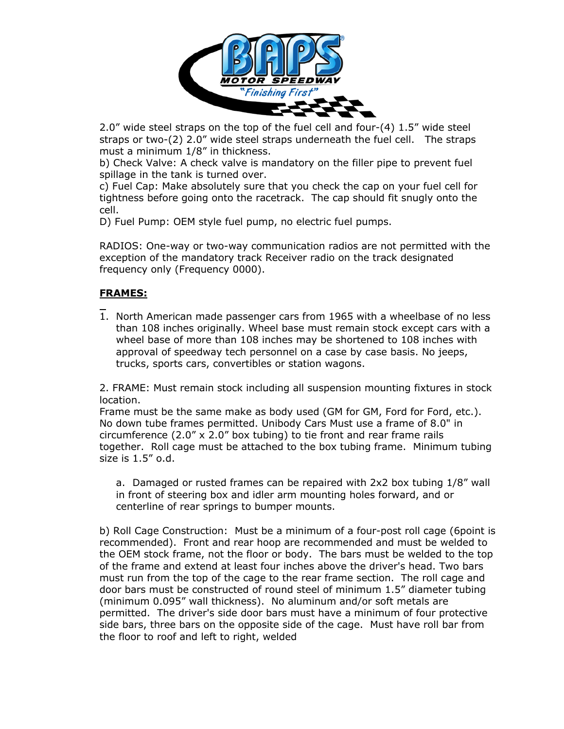

 2.0" wide steel straps on the top of the fuel cell and four-(4) 1.5" wide steel straps or two-(2) 2.0" wide steel straps underneath the fuel cell. The straps must a minimum 1/8" in thickness.

b) Check Valve: A check valve is mandatory on the filler pipe to prevent fuel spillage in the tank is turned over.

c) Fuel Cap: Make absolutely sure that you check the cap on your fuel cell for tightness before going onto the racetrack. The cap should fit snugly onto the cell.

D) Fuel Pump: OEM style fuel pump, no electric fuel pumps.

RADIOS: One-way or two-way communication radios are not permitted with the exception of the mandatory track Receiver radio on the track designated frequency only (Frequency 0000).

# **FRAMES:**

1. North American made passenger cars from 1965 with a wheelbase of no less than 108 inches originally. Wheel base must remain stock except cars with a wheel base of more than 108 inches may be shortened to 108 inches with approval of speedway tech personnel on a case by case basis. No jeeps, trucks, sports cars, convertibles or station wagons.

2. FRAME: Must remain stock including all suspension mounting fixtures in stock location.

Frame must be the same make as body used (GM for GM, Ford for Ford, etc.). No down tube frames permitted. Unibody Cars Must use a frame of 8.0" in circumference  $(2.0'' \times 2.0''$  box tubing) to tie front and rear frame rails together. Roll cage must be attached to the box tubing frame. Minimum tubing size is 1.5" o.d.

a. Damaged or rusted frames can be repaired with 2x2 box tubing 1/8" wall in front of steering box and idler arm mounting holes forward, and or centerline of rear springs to bumper mounts.

b) Roll Cage Construction: Must be a minimum of a four-post roll cage (6point is recommended). Front and rear hoop are recommended and must be welded to the OEM stock frame, not the floor or body. The bars must be welded to the top of the frame and extend at least four inches above the driver's head. Two bars must run from the top of the cage to the rear frame section. The roll cage and door bars must be constructed of round steel of minimum 1.5" diameter tubing (minimum 0.095" wall thickness). No aluminum and/or soft metals are permitted. The driver's side door bars must have a minimum of four protective side bars, three bars on the opposite side of the cage. Must have roll bar from the floor to roof and left to right, welded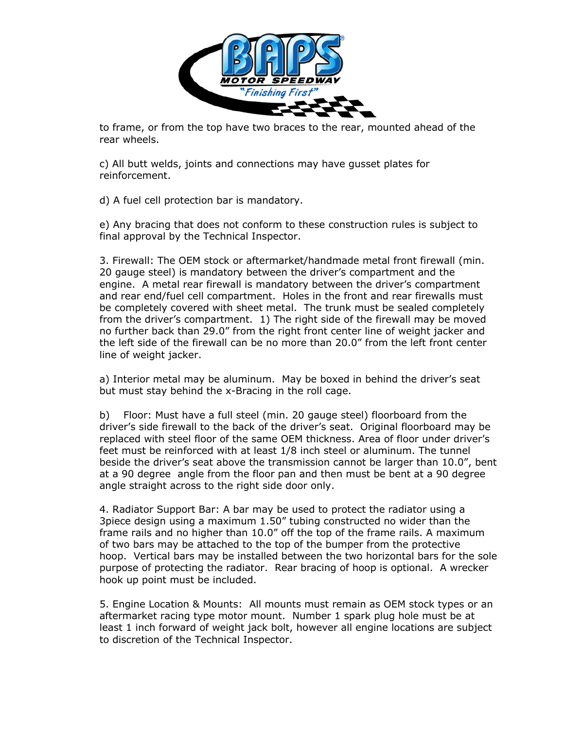

 to frame, or from the top have two braces to the rear, mounted ahead of the rear wheels.

c) All butt welds, joints and connections may have gusset plates for reinforcement.

d) A fuel cell protection bar is mandatory.

e) Any bracing that does not conform to these construction rules is subject to final approval by the Technical Inspector.

3. Firewall: The OEM stock or aftermarket/handmade metal front firewall (min. 20 gauge steel) is mandatory between the driver's compartment and the engine. A metal rear firewall is mandatory between the driver's compartment and rear end/fuel cell compartment. Holes in the front and rear firewalls must be completely covered with sheet metal. The trunk must be sealed completely from the driver's compartment. 1) The right side of the firewall may be moved no further back than 29.0" from the right front center line of weight jacker and the left side of the firewall can be no more than 20.0" from the left front center line of weight jacker.

a) Interior metal may be aluminum. May be boxed in behind the driver's seat but must stay behind the x-Bracing in the roll cage.

b) Floor: Must have a full steel (min. 20 gauge steel) floorboard from the driver's side firewall to the back of the driver's seat. Original floorboard may be replaced with steel floor of the same OEM thickness. Area of floor under driver's feet must be reinforced with at least 1/8 inch steel or aluminum. The tunnel beside the driver's seat above the transmission cannot be larger than 10.0", bent at a 90 degree angle from the floor pan and then must be bent at a 90 degree angle straight across to the right side door only.

4. Radiator Support Bar: A bar may be used to protect the radiator using a 3piece design using a maximum 1.50" tubing constructed no wider than the frame rails and no higher than 10.0" off the top of the frame rails. A maximum of two bars may be attached to the top of the bumper from the protective hoop. Vertical bars may be installed between the two horizontal bars for the sole purpose of protecting the radiator. Rear bracing of hoop is optional. A wrecker hook up point must be included.

5. Engine Location & Mounts: All mounts must remain as OEM stock types or an aftermarket racing type motor mount. Number 1 spark plug hole must be at least 1 inch forward of weight jack bolt, however all engine locations are subject to discretion of the Technical Inspector.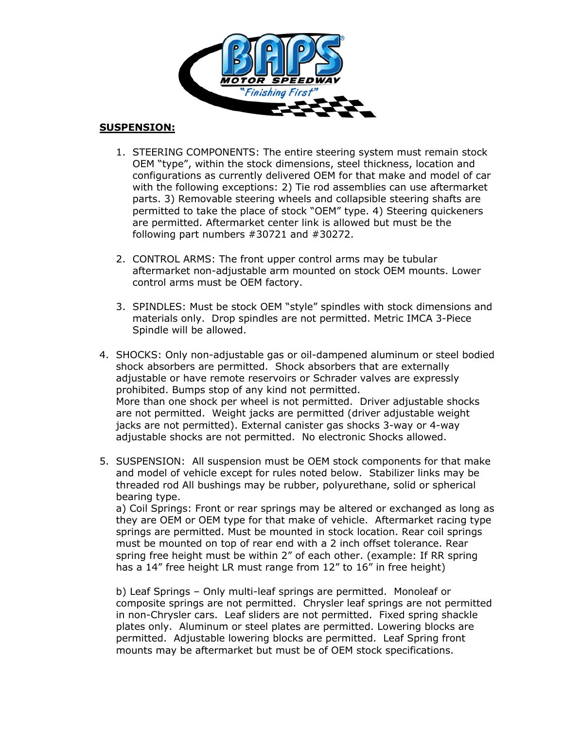

#### **SUSPENSION:**

- 1. STEERING COMPONENTS: The entire steering system must remain stock OEM "type", within the stock dimensions, steel thickness, location and configurations as currently delivered OEM for that make and model of car with the following exceptions: 2) Tie rod assemblies can use aftermarket parts. 3) Removable steering wheels and collapsible steering shafts are permitted to take the place of stock "OEM" type. 4) Steering quickeners are permitted. Aftermarket center link is allowed but must be the following part numbers #30721 and #30272.
- 2. CONTROL ARMS: The front upper control arms may be tubular aftermarket non-adjustable arm mounted on stock OEM mounts. Lower control arms must be OEM factory.
- 3. SPINDLES: Must be stock OEM "style" spindles with stock dimensions and materials only. Drop spindles are not permitted. Metric IMCA 3-Piece Spindle will be allowed.
- 4. SHOCKS: Only non-adjustable gas or oil-dampened aluminum or steel bodied shock absorbers are permitted. Shock absorbers that are externally adjustable or have remote reservoirs or Schrader valves are expressly prohibited. Bumps stop of any kind not permitted. More than one shock per wheel is not permitted. Driver adjustable shocks are not permitted. Weight jacks are permitted (driver adjustable weight jacks are not permitted). External canister gas shocks 3-way or 4-way adjustable shocks are not permitted. No electronic Shocks allowed.
- 5. SUSPENSION: All suspension must be OEM stock components for that make and model of vehicle except for rules noted below. Stabilizer links may be threaded rod All bushings may be rubber, polyurethane, solid or spherical bearing type. a) Coil Springs: Front or rear springs may be altered or exchanged as long as

they are OEM or OEM type for that make of vehicle. Aftermarket racing type springs are permitted. Must be mounted in stock location. Rear coil springs must be mounted on top of rear end with a 2 inch offset tolerance. Rear spring free height must be within 2" of each other. (example: If RR spring has a 14" free height LR must range from 12" to 16" in free height)

b) Leaf Springs – Only multi-leaf springs are permitted. Monoleaf or composite springs are not permitted. Chrysler leaf springs are not permitted in non-Chrysler cars. Leaf sliders are not permitted. Fixed spring shackle plates only. Aluminum or steel plates are permitted. Lowering blocks are permitted. Adjustable lowering blocks are permitted. Leaf Spring front mounts may be aftermarket but must be of OEM stock specifications.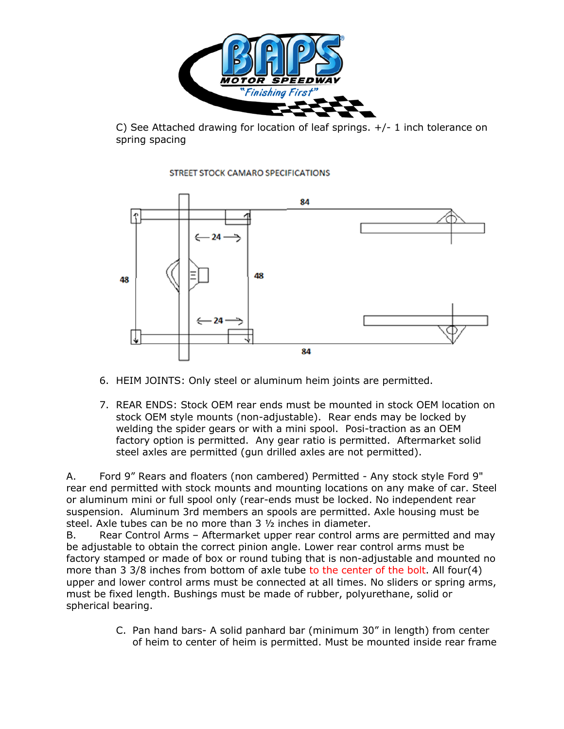

C) See Attached drawing for location of leaf springs.  $+/-1$  inch tolerance on spring spacing





- 6. HEIM JOINTS: Only steel or aluminum heim joints are permitted.
- 7. REAR ENDS: Stock OEM rear ends must be mounted in stock OEM location on stock OEM style mounts (non-adjustable). Rear ends may be locked by welding the spider gears or with a mini spool. Posi-traction as an OEM factory option is permitted. Any gear ratio is permitted. Aftermarket solid steel axles are permitted (gun drilled axles are not permitted).

A. Ford 9" Rears and floaters (non cambered) Permitted - Any stock style Ford 9" rear end permitted with stock mounts and mounting locations on any make of car. Steel or aluminum mini or full spool only (rear-ends must be locked. No independent rear suspension. Aluminum 3rd members an spools are permitted. Axle housing must be steel. Axle tubes can be no more than 3 ½ inches in diameter.

B. Rear Control Arms – Aftermarket upper rear control arms are permitted and may be adjustable to obtain the correct pinion angle. Lower rear control arms must be factory stamped or made of box or round tubing that is non-adjustable and mounted no more than 3 3/8 inches from bottom of axle tube to the center of the bolt. All four(4) upper and lower control arms must be connected at all times. No sliders or spring arms, must be fixed length. Bushings must be made of rubber, polyurethane, solid or spherical bearing.

> C. Pan hand bars- A solid panhard bar (minimum 30" in length) from center of heim to center of heim is permitted. Must be mounted inside rear frame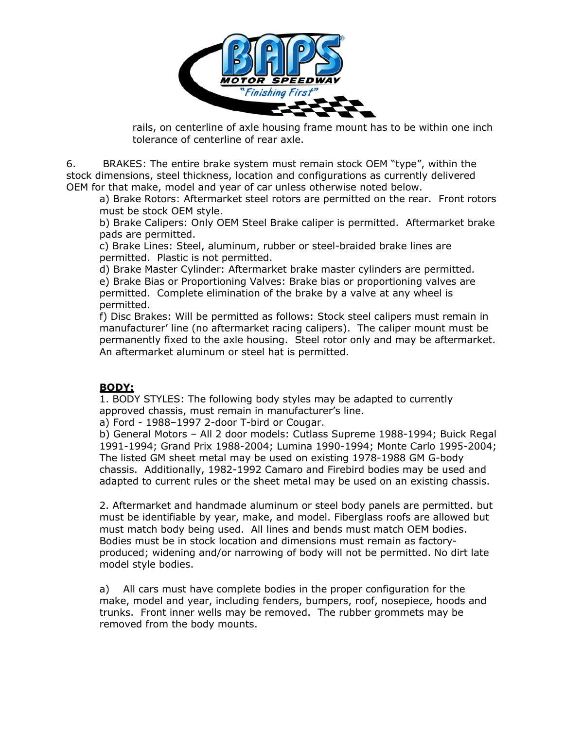

 rails, on centerline of axle housing frame mount has to be within one inch tolerance of centerline of rear axle.

6. BRAKES: The entire brake system must remain stock OEM "type", within the stock dimensions, steel thickness, location and configurations as currently delivered OEM for that make, model and year of car unless otherwise noted below.

a) Brake Rotors: Aftermarket steel rotors are permitted on the rear. Front rotors must be stock OEM style.

b) Brake Calipers: Only OEM Steel Brake caliper is permitted. Aftermarket brake pads are permitted.

c) Brake Lines: Steel, aluminum, rubber or steel-braided brake lines are permitted. Plastic is not permitted.

d) Brake Master Cylinder: Aftermarket brake master cylinders are permitted. e) Brake Bias or Proportioning Valves: Brake bias or proportioning valves are permitted. Complete elimination of the brake by a valve at any wheel is permitted.

f) Disc Brakes: Will be permitted as follows: Stock steel calipers must remain in manufacturer' line (no aftermarket racing calipers). The caliper mount must be permanently fixed to the axle housing. Steel rotor only and may be aftermarket. An aftermarket aluminum or steel hat is permitted.

# **BODY:**

1. BODY STYLES: The following body styles may be adapted to currently approved chassis, must remain in manufacturer's line.

a) Ford - 1988–1997 2-door T-bird or Cougar.

b) General Motors – All 2 door models: Cutlass Supreme 1988-1994; Buick Regal 1991-1994; Grand Prix 1988-2004; Lumina 1990-1994; Monte Carlo 1995-2004; The listed GM sheet metal may be used on existing 1978-1988 GM G-body chassis. Additionally, 1982-1992 Camaro and Firebird bodies may be used and adapted to current rules or the sheet metal may be used on an existing chassis.

2. Aftermarket and handmade aluminum or steel body panels are permitted. but must be identifiable by year, make, and model. Fiberglass roofs are allowed but must match body being used. All lines and bends must match OEM bodies. Bodies must be in stock location and dimensions must remain as factoryproduced; widening and/or narrowing of body will not be permitted. No dirt late model style bodies.

a) All cars must have complete bodies in the proper configuration for the make, model and year, including fenders, bumpers, roof, nosepiece, hoods and trunks. Front inner wells may be removed. The rubber grommets may be removed from the body mounts.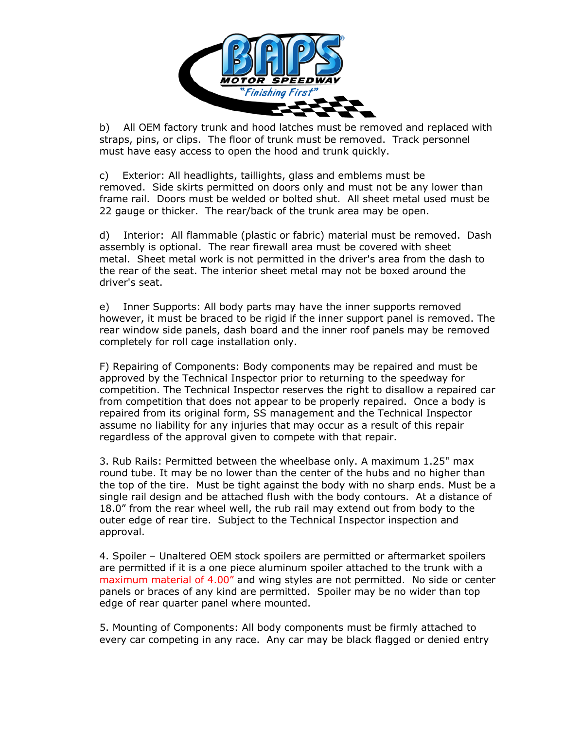

 b) All OEM factory trunk and hood latches must be removed and replaced with straps, pins, or clips. The floor of trunk must be removed. Track personnel must have easy access to open the hood and trunk quickly.

c) Exterior: All headlights, taillights, glass and emblems must be removed. Side skirts permitted on doors only and must not be any lower than frame rail. Doors must be welded or bolted shut. All sheet metal used must be 22 gauge or thicker. The rear/back of the trunk area may be open.

d) Interior: All flammable (plastic or fabric) material must be removed. Dash assembly is optional. The rear firewall area must be covered with sheet metal. Sheet metal work is not permitted in the driver's area from the dash to the rear of the seat. The interior sheet metal may not be boxed around the driver's seat.

e) Inner Supports: All body parts may have the inner supports removed however, it must be braced to be rigid if the inner support panel is removed. The rear window side panels, dash board and the inner roof panels may be removed completely for roll cage installation only.

F) Repairing of Components: Body components may be repaired and must be approved by the Technical Inspector prior to returning to the speedway for competition. The Technical Inspector reserves the right to disallow a repaired car from competition that does not appear to be properly repaired. Once a body is repaired from its original form, SS management and the Technical Inspector assume no liability for any injuries that may occur as a result of this repair regardless of the approval given to compete with that repair.

3. Rub Rails: Permitted between the wheelbase only. A maximum 1.25" max round tube. It may be no lower than the center of the hubs and no higher than the top of the tire. Must be tight against the body with no sharp ends. Must be a single rail design and be attached flush with the body contours. At a distance of 18.0" from the rear wheel well, the rub rail may extend out from body to the outer edge of rear tire. Subject to the Technical Inspector inspection and approval.

4. Spoiler – Unaltered OEM stock spoilers are permitted or aftermarket spoilers are permitted if it is a one piece aluminum spoiler attached to the trunk with a maximum material of 4.00" and wing styles are not permitted. No side or center panels or braces of any kind are permitted. Spoiler may be no wider than top edge of rear quarter panel where mounted.

5. Mounting of Components: All body components must be firmly attached to every car competing in any race. Any car may be black flagged or denied entry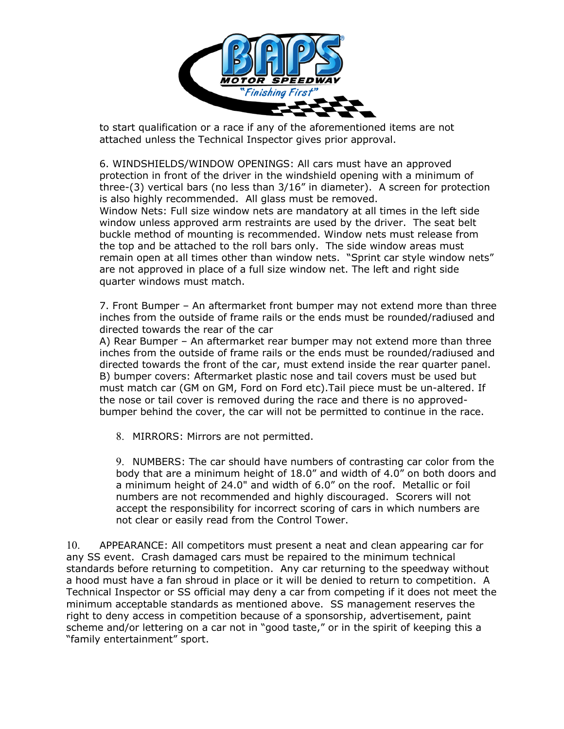

 to start qualification or a race if any of the aforementioned items are not attached unless the Technical Inspector gives prior approval.

6. WINDSHIELDS/WINDOW OPENINGS: All cars must have an approved protection in front of the driver in the windshield opening with a minimum of three-(3) vertical bars (no less than 3/16" in diameter). A screen for protection is also highly recommended. All glass must be removed.

Window Nets: Full size window nets are mandatory at all times in the left side window unless approved arm restraints are used by the driver. The seat belt buckle method of mounting is recommended. Window nets must release from the top and be attached to the roll bars only. The side window areas must remain open at all times other than window nets. "Sprint car style window nets" are not approved in place of a full size window net. The left and right side quarter windows must match.

7. Front Bumper – An aftermarket front bumper may not extend more than three inches from the outside of frame rails or the ends must be rounded/radiused and directed towards the rear of the car

A) Rear Bumper – An aftermarket rear bumper may not extend more than three inches from the outside of frame rails or the ends must be rounded/radiused and directed towards the front of the car, must extend inside the rear quarter panel. B) bumper covers: Aftermarket plastic nose and tail covers must be used but must match car (GM on GM, Ford on Ford etc).Tail piece must be un-altered. If the nose or tail cover is removed during the race and there is no approvedbumper behind the cover, the car will not be permitted to continue in the race.

8. MIRRORS: Mirrors are not permitted.

9. NUMBERS: The car should have numbers of contrasting car color from the body that are a minimum height of 18.0" and width of 4.0" on both doors and a minimum height of 24.0" and width of 6.0" on the roof. Metallic or foil numbers are not recommended and highly discouraged. Scorers will not accept the responsibility for incorrect scoring of cars in which numbers are not clear or easily read from the Control Tower.

10. APPEARANCE: All competitors must present a neat and clean appearing car for any SS event. Crash damaged cars must be repaired to the minimum technical standards before returning to competition. Any car returning to the speedway without a hood must have a fan shroud in place or it will be denied to return to competition. A Technical Inspector or SS official may deny a car from competing if it does not meet the minimum acceptable standards as mentioned above. SS management reserves the right to deny access in competition because of a sponsorship, advertisement, paint scheme and/or lettering on a car not in "good taste," or in the spirit of keeping this a "family entertainment" sport.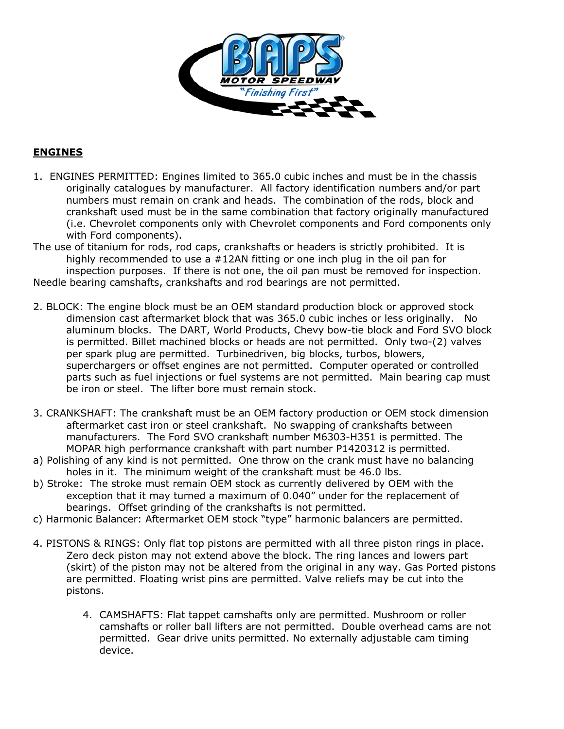

# **ENGINES**

1. ENGINES PERMITTED: Engines limited to 365.0 cubic inches and must be in the chassis originally catalogues by manufacturer. All factory identification numbers and/or part numbers must remain on crank and heads. The combination of the rods, block and crankshaft used must be in the same combination that factory originally manufactured (i.e. Chevrolet components only with Chevrolet components and Ford components only with Ford components).

The use of titanium for rods, rod caps, crankshafts or headers is strictly prohibited. It is highly recommended to use a #12AN fitting or one inch plug in the oil pan for inspection purposes. If there is not one, the oil pan must be removed for inspection. Needle bearing camshafts, crankshafts and rod bearings are not permitted.

- 2. BLOCK: The engine block must be an OEM standard production block or approved stock dimension cast aftermarket block that was 365.0 cubic inches or less originally. No aluminum blocks. The DART, World Products, Chevy bow-tie block and Ford SVO block is permitted. Billet machined blocks or heads are not permitted. Only two-(2) valves per spark plug are permitted. Turbinedriven, big blocks, turbos, blowers, superchargers or offset engines are not permitted. Computer operated or controlled parts such as fuel injections or fuel systems are not permitted. Main bearing cap must be iron or steel. The lifter bore must remain stock.
- 3. CRANKSHAFT: The crankshaft must be an OEM factory production or OEM stock dimension aftermarket cast iron or steel crankshaft. No swapping of crankshafts between manufacturers. The Ford SVO crankshaft number M6303-H351 is permitted. The MOPAR high performance crankshaft with part number P1420312 is permitted.
- a) Polishing of any kind is not permitted. One throw on the crank must have no balancing holes in it. The minimum weight of the crankshaft must be 46.0 lbs.
- b) Stroke: The stroke must remain OEM stock as currently delivered by OEM with the exception that it may turned a maximum of 0.040" under for the replacement of bearings. Offset grinding of the crankshafts is not permitted.
- c) Harmonic Balancer: Aftermarket OEM stock "type" harmonic balancers are permitted.
- 4. PISTONS & RINGS: Only flat top pistons are permitted with all three piston rings in place. Zero deck piston may not extend above the block. The ring lances and lowers part (skirt) of the piston may not be altered from the original in any way. Gas Ported pistons are permitted. Floating wrist pins are permitted. Valve reliefs may be cut into the pistons.
	- 4. CAMSHAFTS: Flat tappet camshafts only are permitted. Mushroom or roller camshafts or roller ball lifters are not permitted. Double overhead cams are not permitted. Gear drive units permitted. No externally adjustable cam timing device.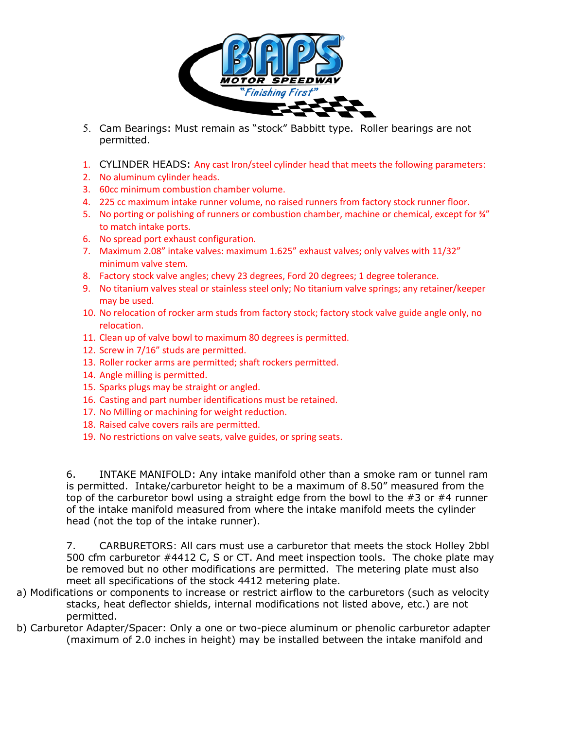

- 5. Cam Bearings: Must remain as "stock" Babbitt type. Roller bearings are not permitted.
- 1. CYLINDER HEADS: Any cast Iron/steel cylinder head that meets the following parameters:
- 2. No aluminum cylinder heads.
- 3. 60cc minimum combustion chamber volume.
- 4. 225 cc maximum intake runner volume, no raised runners from factory stock runner floor.
- 5. No porting or polishing of runners or combustion chamber, machine or chemical, except for  $\frac{3}{4}$ " to match intake ports.
- 6. No spread port exhaust configuration.
- 7. Maximum 2.08" intake valves: maximum 1.625" exhaust valves; only valves with 11/32" minimum valve stem.
- 8. Factory stock valve angles; chevy 23 degrees, Ford 20 degrees; 1 degree tolerance.
- 9. No titanium valves steal or stainless steel only; No titanium valve springs; any retainer/keeper may be used.
- 10. No relocation of rocker arm studs from factory stock; factory stock valve guide angle only, no relocation.
- 11. Clean up of valve bowl to maximum 80 degrees is permitted.
- 12. Screw in 7/16" studs are permitted.
- 13. Roller rocker arms are permitted; shaft rockers permitted.
- 14. Angle milling is permitted.
- 15. Sparks plugs may be straight or angled.
- 16. Casting and part number identifications must be retained.
- 17. No Milling or machining for weight reduction.
- 18. Raised calve covers rails are permitted.
- 19. No restrictions on valve seats, valve guides, or spring seats.

6. INTAKE MANIFOLD: Any intake manifold other than a smoke ram or tunnel ram is permitted. Intake/carburetor height to be a maximum of 8.50" measured from the top of the carburetor bowl using a straight edge from the bowl to the  $#3$  or  $#4$  runner of the intake manifold measured from where the intake manifold meets the cylinder head (not the top of the intake runner).

7. CARBURETORS: All cars must use a carburetor that meets the stock Holley 2bbl 500 cfm carburetor #4412 C, S or CT. And meet inspection tools. The choke plate may be removed but no other modifications are permitted. The metering plate must also meet all specifications of the stock 4412 metering plate.

- a) Modifications or components to increase or restrict airflow to the carburetors (such as velocity stacks, heat deflector shields, internal modifications not listed above, etc.) are not permitted.
- b) Carburetor Adapter/Spacer: Only a one or two-piece aluminum or phenolic carburetor adapter (maximum of 2.0 inches in height) may be installed between the intake manifold and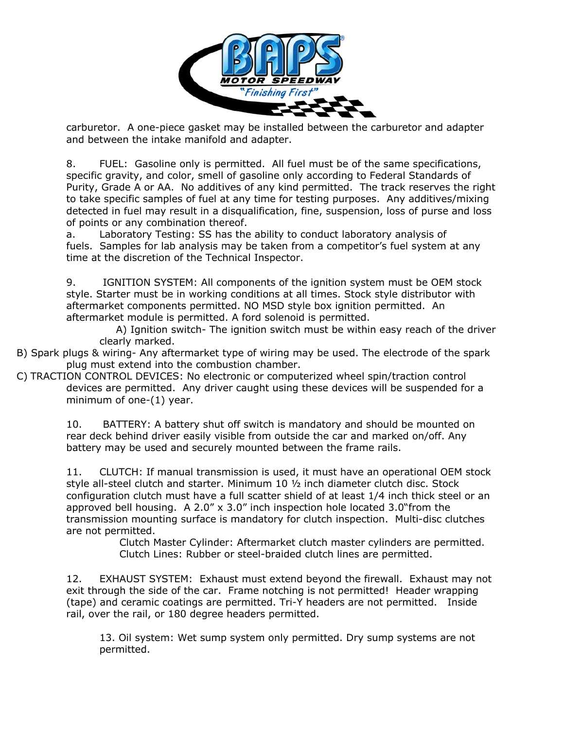

carburetor. A one-piece gasket may be installed between the carburetor and adapter and between the intake manifold and adapter.

8. FUEL: Gasoline only is permitted. All fuel must be of the same specifications, specific gravity, and color, smell of gasoline only according to Federal Standards of Purity, Grade A or AA. No additives of any kind permitted. The track reserves the right to take specific samples of fuel at any time for testing purposes. Any additives/mixing detected in fuel may result in a disqualification, fine, suspension, loss of purse and loss of points or any combination thereof.

a. Laboratory Testing: SS has the ability to conduct laboratory analysis of fuels. Samples for lab analysis may be taken from a competitor's fuel system at any time at the discretion of the Technical Inspector.

9. IGNITION SYSTEM: All components of the ignition system must be OEM stock style. Starter must be in working conditions at all times. Stock style distributor with aftermarket components permitted. NO MSD style box ignition permitted. An aftermarket module is permitted. A ford solenoid is permitted.

A) Ignition switch- The ignition switch must be within easy reach of the driver clearly marked.

B) Spark plugs & wiring- Any aftermarket type of wiring may be used. The electrode of the spark plug must extend into the combustion chamber.

C) TRACTION CONTROL DEVICES: No electronic or computerized wheel spin/traction control devices are permitted. Any driver caught using these devices will be suspended for a minimum of one-(1) year.

> 10. BATTERY: A battery shut off switch is mandatory and should be mounted on rear deck behind driver easily visible from outside the car and marked on/off. Any battery may be used and securely mounted between the frame rails.

11. CLUTCH: If manual transmission is used, it must have an operational OEM stock style all-steel clutch and starter. Minimum 10 ½ inch diameter clutch disc. Stock configuration clutch must have a full scatter shield of at least 1/4 inch thick steel or an approved bell housing. A 2.0"  $\times$  3.0" inch inspection hole located 3.0" from the transmission mounting surface is mandatory for clutch inspection. Multi-disc clutches are not permitted.

Clutch Master Cylinder: Aftermarket clutch master cylinders are permitted. Clutch Lines: Rubber or steel-braided clutch lines are permitted.

12. EXHAUST SYSTEM: Exhaust must extend beyond the firewall. Exhaust may not exit through the side of the car. Frame notching is not permitted! Header wrapping (tape) and ceramic coatings are permitted. Tri-Y headers are not permitted. Inside rail, over the rail, or 180 degree headers permitted.

13. Oil system: Wet sump system only permitted. Dry sump systems are not permitted.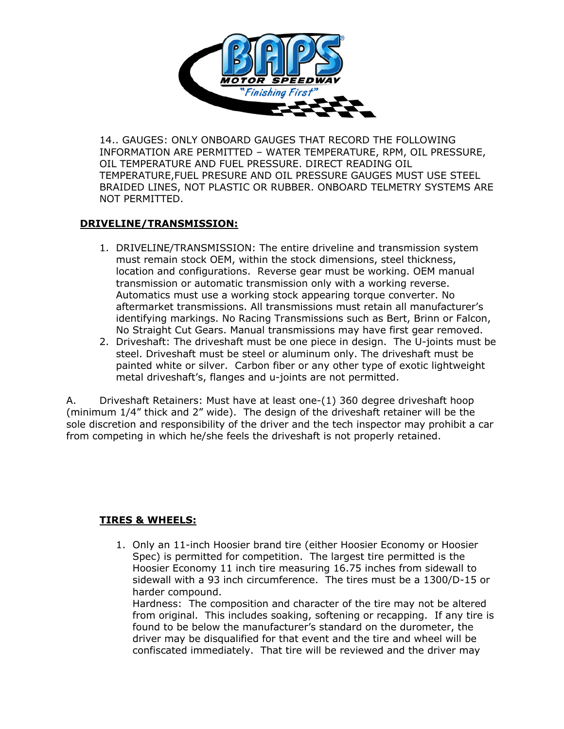

14.. GAUGES: ONLY ONBOARD GAUGES THAT RECORD THE FOLLOWING INFORMATION ARE PERMITTED – WATER TEMPERATURE, RPM, OIL PRESSURE, OIL TEMPERATURE AND FUEL PRESSURE. DIRECT READING OIL TEMPERATURE,FUEL PRESURE AND OIL PRESSURE GAUGES MUST USE STEEL BRAIDED LINES, NOT PLASTIC OR RUBBER. ONBOARD TELMETRY SYSTEMS ARE NOT PERMITTED.

### **DRIVELINE/TRANSMISSION:**

- 1. DRIVELINE/TRANSMISSION: The entire driveline and transmission system must remain stock OEM, within the stock dimensions, steel thickness, location and configurations. Reverse gear must be working. OEM manual transmission or automatic transmission only with a working reverse. Automatics must use a working stock appearing torque converter. No aftermarket transmissions. All transmissions must retain all manufacturer's identifying markings. No Racing Transmissions such as Bert, Brinn or Falcon, No Straight Cut Gears. Manual transmissions may have first gear removed.
- 2. Driveshaft: The driveshaft must be one piece in design. The U-joints must be steel. Driveshaft must be steel or aluminum only. The driveshaft must be painted white or silver. Carbon fiber or any other type of exotic lightweight metal driveshaft's, flanges and u-joints are not permitted.

A. Driveshaft Retainers: Must have at least one-(1) 360 degree driveshaft hoop (minimum 1/4" thick and 2" wide). The design of the driveshaft retainer will be the sole discretion and responsibility of the driver and the tech inspector may prohibit a car from competing in which he/she feels the driveshaft is not properly retained.

# **TIRES & WHEELS:**

1. Only an 11-inch Hoosier brand tire (either Hoosier Economy or Hoosier Spec) is permitted for competition. The largest tire permitted is the Hoosier Economy 11 inch tire measuring 16.75 inches from sidewall to sidewall with a 93 inch circumference. The tires must be a 1300/D-15 or harder compound.

Hardness: The composition and character of the tire may not be altered from original. This includes soaking, softening or recapping. If any tire is found to be below the manufacturer's standard on the durometer, the driver may be disqualified for that event and the tire and wheel will be confiscated immediately. That tire will be reviewed and the driver may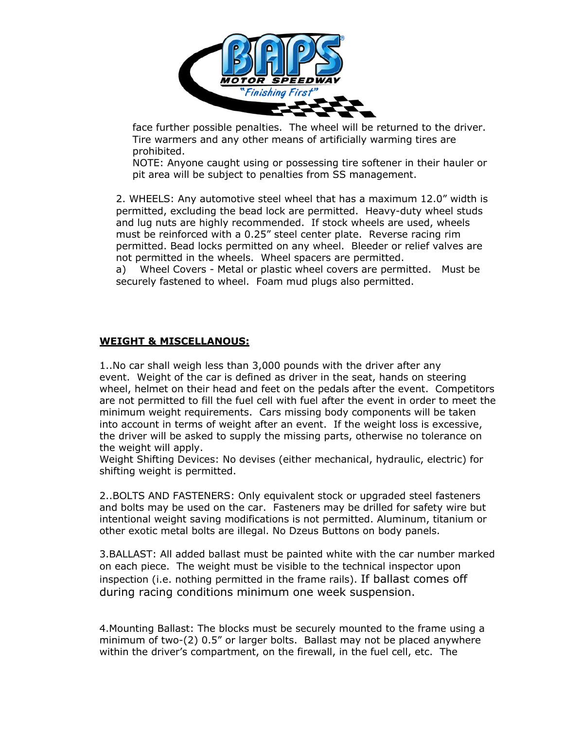

 face further possible penalties. The wheel will be returned to the driver. Tire warmers and any other means of artificially warming tires are prohibited.

NOTE: Anyone caught using or possessing tire softener in their hauler or pit area will be subject to penalties from SS management.

2. WHEELS: Any automotive steel wheel that has a maximum 12.0" width is permitted, excluding the bead lock are permitted. Heavy-duty wheel studs and lug nuts are highly recommended. If stock wheels are used, wheels must be reinforced with a 0.25" steel center plate. Reverse racing rim permitted. Bead locks permitted on any wheel. Bleeder or relief valves are not permitted in the wheels. Wheel spacers are permitted.

a) Wheel Covers - Metal or plastic wheel covers are permitted. Must be securely fastened to wheel. Foam mud plugs also permitted.

# **WEIGHT & MISCELLANOUS:**

1..No car shall weigh less than 3,000 pounds with the driver after any event. Weight of the car is defined as driver in the seat, hands on steering wheel, helmet on their head and feet on the pedals after the event. Competitors are not permitted to fill the fuel cell with fuel after the event in order to meet the minimum weight requirements. Cars missing body components will be taken into account in terms of weight after an event. If the weight loss is excessive, the driver will be asked to supply the missing parts, otherwise no tolerance on the weight will apply.

Weight Shifting Devices: No devises (either mechanical, hydraulic, electric) for shifting weight is permitted.

2..BOLTS AND FASTENERS: Only equivalent stock or upgraded steel fasteners and bolts may be used on the car. Fasteners may be drilled for safety wire but intentional weight saving modifications is not permitted. Aluminum, titanium or other exotic metal bolts are illegal. No Dzeus Buttons on body panels.

3.BALLAST: All added ballast must be painted white with the car number marked on each piece. The weight must be visible to the technical inspector upon inspection (i.e. nothing permitted in the frame rails). If ballast comes off during racing conditions minimum one week suspension.

4.Mounting Ballast: The blocks must be securely mounted to the frame using a minimum of two-(2) 0.5" or larger bolts. Ballast may not be placed anywhere within the driver's compartment, on the firewall, in the fuel cell, etc. The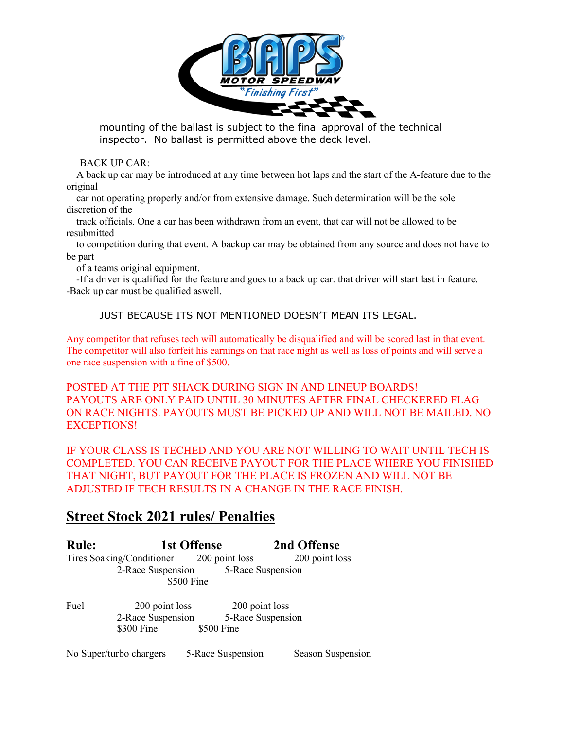

 mounting of the ballast is subject to the final approval of the technical inspector. No ballast is permitted above the deck level.

BACK UP CAR:

 A back up car may be introduced at any time between hot laps and the start of the A-feature due to the original

 car not operating properly and/or from extensive damage. Such determination will be the sole discretion of the

 track officials. One a car has been withdrawn from an event, that car will not be allowed to be resubmitted

 to competition during that event. A backup car may be obtained from any source and does not have to be part

of a teams original equipment.

 -If a driver is qualified for the feature and goes to a back up car. that driver will start last in feature. -Back up car must be qualified aswell.

JUST BECAUSE ITS NOT MENTIONED DOESN'T MEAN ITS LEGAL.

Any competitor that refuses tech will automatically be disqualified and will be scored last in that event. The competitor will also forfeit his earnings on that race night as well as loss of points and will serve a one race suspension with a fine of \$500.

POSTED AT THE PIT SHACK DURING SIGN IN AND LINEUP BOARDS! PAYOUTS ARE ONLY PAID UNTIL 30 MINUTES AFTER FINAL CHECKERED FLAG ON RACE NIGHTS. PAYOUTS MUST BE PICKED UP AND WILL NOT BE MAILED. NO EXCEPTIONS!

IF YOUR CLASS IS TECHED AND YOU ARE NOT WILLING TO WAIT UNTIL TECH IS COMPLETED. YOU CAN RECEIVE PAYOUT FOR THE PLACE WHERE YOU FINISHED THAT NIGHT, BUT PAYOUT FOR THE PLACE IS FROZEN AND WILL NOT BE ADJUSTED IF TECH RESULTS IN A CHANGE IN THE RACE FINISH.

# **Street Stock 2021 rules/ Penalties**

**Rule: 1st Offense 2nd Offense**  Tires Soaking/Conditioner 200 point loss 200 point loss 2-Race Suspension 5-Race Suspension \$500 Fine

Fuel 200 point loss 200 point loss 2-Race Suspension 5-Race Suspension \$300 Fine \$500 Fine

No Super/turbo chargers 5-Race Suspension Season Suspension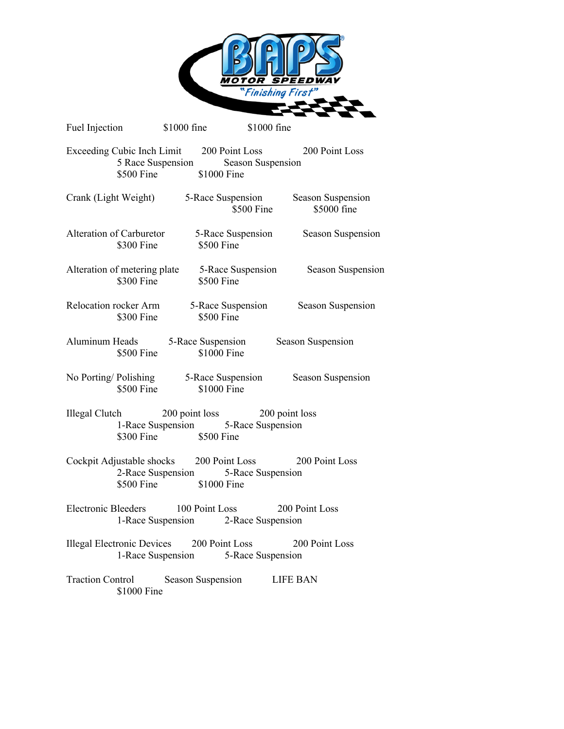

| Fuel Injection \$1000 fine                                 |                                                               | \$1000 fine       |                                                                  |
|------------------------------------------------------------|---------------------------------------------------------------|-------------------|------------------------------------------------------------------|
| Exceeding Cubic Inch Limit 200 Point Loss                  | 5 Race Suspension<br>\$500 Fine \$1000 Fine                   | Season Suspension | 200 Point Loss                                                   |
| Crank (Light Weight)                                       |                                                               | \$500 Fine        | 5-Race Suspension Season Suspension<br>\$5000 fine               |
| Alteration of Carburetor 5-Race Suspension<br>\$300 Fine   | $$500$ Fine                                                   |                   | Season Suspension                                                |
| \$300 Fine                                                 | \$500 Fine                                                    |                   | Alteration of metering plate 5-Race Suspension Season Suspension |
| Relocation rocker Arm<br>\$300 Fine                        | \$500 Fine                                                    | 5-Race Suspension | Season Suspension                                                |
| Aluminum Heads 5-Race Suspension                           | \$1000 Fine<br>$$500$ Fine                                    |                   | Season Suspension                                                |
| No Porting/Polishing 5-Race Suspension Season Suspension   | \$500 Fine<br>\$1000 Fine                                     |                   |                                                                  |
| Illegal Clutch 200 point loss 200 point loss               | 1-Race Suspension 5-Race Suspension<br>\$300 Fine \$500 Fine  |                   |                                                                  |
| Cockpit Adjustable shocks 200 Point Loss 200 Point Loss    | 2-Race Suspension 5-Race Suspension<br>\$500 Fine \$1000 Fine |                   |                                                                  |
| Electronic Bleeders 100 Point Loss 200 Point Loss          | 1-Race Suspension 2-Race Suspension                           |                   |                                                                  |
| Illegal Electronic Devices 200 Point Loss 200 Point Loss   | 1-Race Suspension 5-Race Suspension                           |                   |                                                                  |
| Traction Control Season Suspension LIFE BAN<br>\$1000 Fine |                                                               |                   |                                                                  |